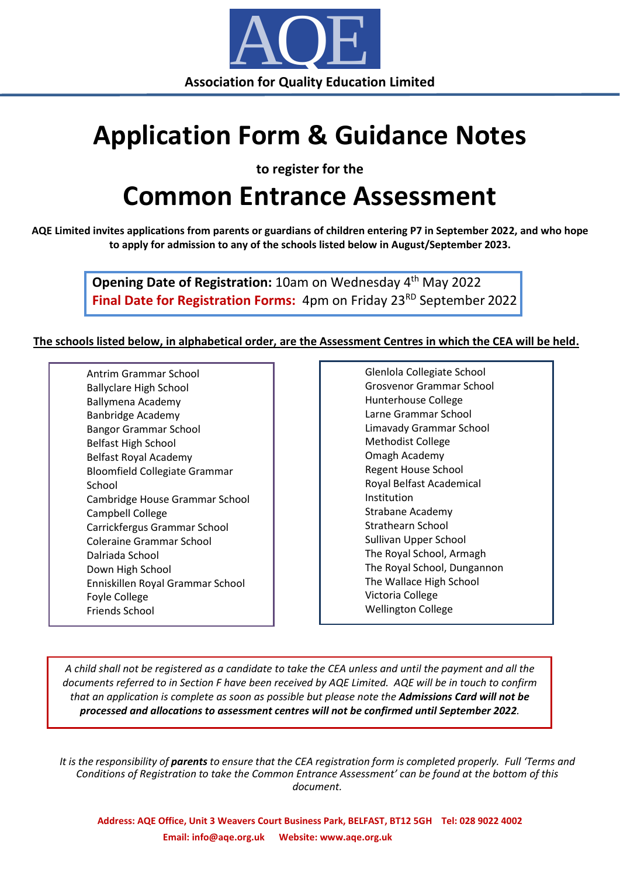

## **Application Form & Guidance Notes**

**to register for the**

## **Common Entrance Assessment**

**AQE Limited invites applications from parents or guardians of children entering P7 in September 2022, and who hope to apply for admission to any of the schools listed below in August/September 2023.**

> **Opening Date of Registration:** 10am on Wednesday 4<sup>th</sup> May 2022 **Final Date for Registration Forms:** 4pm on Friday 23<sup>RD</sup> September 2022

## **The schools listed below, in alphabetical order, are the Assessment Centres in which the CEA will be held.**

Antrim Grammar School Ballyclare High School Ballymena Academy Banbridge Academy Bangor Grammar School Belfast High School Belfast Royal Academy Bloomfield Collegiate Grammar School Cambridge House Grammar School Campbell College Carrickfergus Grammar School Coleraine Grammar School Dalriada School Down High School Enniskillen Royal Grammar School Foyle College Friends School

Glenlola Collegiate School Grosvenor Grammar School Hunterhouse College Larne Grammar School Limavady Grammar School Methodist College Omagh Academy Regent House School Royal Belfast Academical Institution Strabane Academy Strathearn School Sullivan Upper School The Royal School, Armagh The Royal School, Dungannon The Wallace High School Victoria College Wellington College

A child shall not be registered as a candidate to take the CEA unless and until the payment and all the documents referred to in Section F have been received by AQE Limited. AQE will be in touch to confirm that an application is complete as soon as possible but please note the Admissions Card will not be *processed and allocations to assessment centres will not be confirmed until September 2022.* 

It is the responsibility of **parents** to ensure that the CEA registration form is completed properly. Full 'Terms and *Conditions of Registration to take the Common Entrance Assessment' can be found at the bottom of this document.*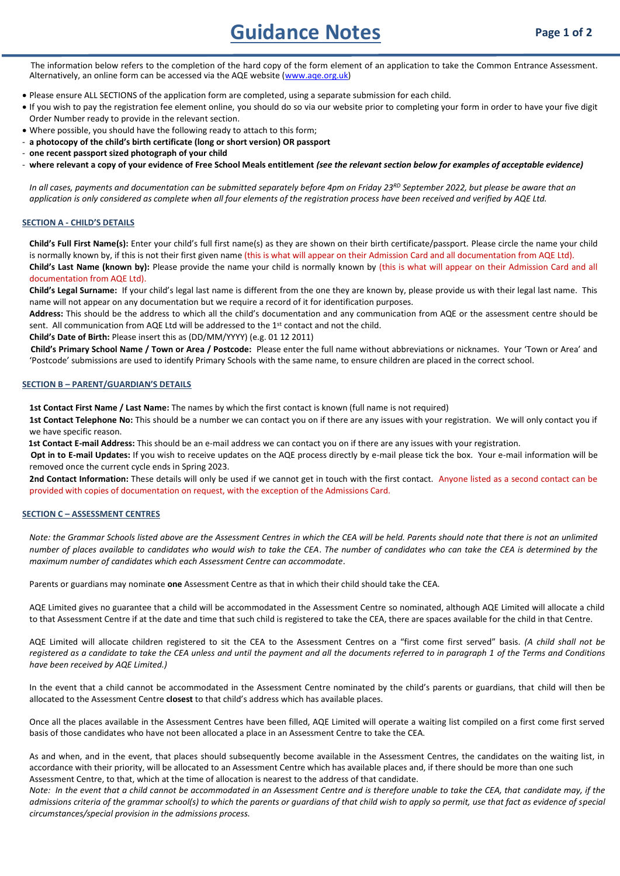Guidance Notes **Page 1 of 2** 

 The information below refers to the completion of the hard copy of the form element of an application to take the Common Entrance Assessment. Alternatively, an online form can be accessed via the AQE website [\(www.aqe.org.uk\)](http://www.aqe.org.uk/)

- Please ensure ALL SECTIONS of the application form are completed, using a separate submission for each child.
- If you wish to pay the registration fee element online, you should do so via our website prior to completing your form in order to have your five digit Order Number ready to provide in the relevant section.
- Where possible, you should have the following ready to attach to this form;
- **a photocopy of the child's birth certificate (long or short version) OR passport**
- **one recent passport sized photograph of your child**
- **where relevant a copy of your evidence of Free School Meals entitlement** *(see the relevant section below for examples of acceptable evidence)*

In all cases, payments and documentation can be submitted separately before 4pm on Friday 23<sup>RD</sup> September 2022, but please be aware that an application is only considered as complete when all four elements of the registration process have been received and verified by AQE Ltd.

### **SECTION A - CHILD'S DETAILS**

**Child's Full First Name(s):** Enter your child's full first name(s) as they are shown on their birth certificate/passport. Please circle the name your child is normally known by, if this is not their first given name (this is what will appear on their Admission Card and all documentation from AQE Ltd). **Child's Last Name (known by):** Please provide the name your child is normally known by (this is what will appear on their Admission Card and all documentation from AQE Ltd).

**Child's Legal Surname:** If your child's legal last name is different from the one they are known by, please provide us with their legal last name. This name will not appear on any documentation but we require a record of it for identification purposes.

**Address:** This should be the address to which all the child's documentation and any communication from AQE or the assessment centre should be sent. All communication from AQE Ltd will be addressed to the 1<sup>st</sup> contact and not the child.

**Child's Date of Birth:** Please insert this as (DD/MM/YYYY) (e.g. 01 12 2011)

 **Child's Primary School Name / Town or Area / Postcode:** Please enter the full name without abbreviations or nicknames. Your 'Town or Area' and 'Postcode' submissions are used to identify Primary Schools with the same name, to ensure children are placed in the correct school.

#### **SECTION B – PARENT/GUARDIAN'S DETAILS**

**1st Contact First Name / Last Name:** The names by which the first contact is known (full name is not required)

**1st Contact Telephone No:** This should be a number we can contact you on if there are any issues with your registration. We will only contact you if we have specific reason.

 **1st Contact E-mail Address:** This should be an e-mail address we can contact you on if there are any issues with your registration.

 **Opt in to E-mail Updates:** If you wish to receive updates on the AQE process directly by e-mail please tick the box. Your e-mail information will be removed once the current cycle ends in Spring 2023.

**2nd Contact Information:** These details will only be used if we cannot get in touch with the first contact. Anyone listed as a second contact can be provided with copies of documentation on request, with the exception of the Admissions Card.

### **SECTION C – ASSESSMENT CENTRES**

*Note: the Grammar Schools listed above are the Assessment Centres in which the CEA will be held. Parents should note that there is not an unlimited number of places available to candidates who would wish to take the CEA*. *The number of candidates who can take the CEA is determined by the maximum number of candidates which each Assessment Centre can accommodate*.

Parents or guardians may nominate **one** Assessment Centre as that in which their child should take the CEA.

AQE Limited gives no guarantee that a child will be accommodated in the Assessment Centre so nominated, although AQE Limited will allocate a child to that Assessment Centre if at the date and time that such child is registered to take the CEA, there are spaces available for the child in that Centre.

AQE Limited will allocate children registered to sit the CEA to the Assessment Centres on a "first come first served" basis. *(A child shall not be registered as a candidate to take the CEA unless and until the payment and all the documents referred to in paragraph 1 of the Terms and Conditions have been received by AQE Limited.)*

In the event that a child cannot be accommodated in the Assessment Centre nominated by the child's parents or guardians, that child will then be allocated to the Assessment Centre **closest** to that child's address which has available places.

Once all the places available in the Assessment Centres have been filled, AQE Limited will operate a waiting list compiled on a first come first served basis of those candidates who have not been allocated a place in an Assessment Centre to take the CEA.

As and when, and in the event, that places should subsequently become available in the Assessment Centres, the candidates on the waiting list, in accordance with their priority, will be allocated to an Assessment Centre which has available places and, if there should be more than one such Assessment Centre, to that, which at the time of allocation is nearest to the address of that candidate.

*Note: In the event that a child cannot be accommodated in an Assessment Centre and is therefore unable to take the CEA, that candidate may, if the admissions criteria of the grammar school(s) to which the parents or guardians of that child wish to apply so permit, use that fact as evidence of special circumstances/special provision in the admissions process.*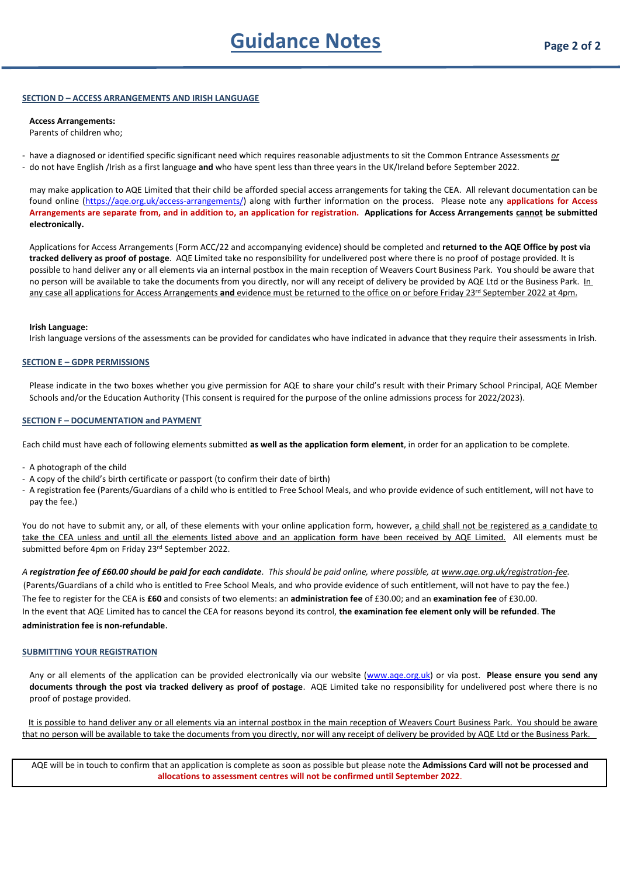### **SECTION D – ACCESS ARRANGEMENTS AND IRISH LANGUAGE**

### **Access Arrangements:**

Parents of children who;

- have a diagnosed or identified specific significant need which requires reasonable adjustments to sit the Common Entrance Assessments *or*

- do not have English /Irish as a first language **and** who have spent less than three years in the UK/Ireland before September 2022.

may make application to AQE Limited that their child be afforded special access arrangements for taking the CEA. All relevant documentation can be found online [\(https://aqe.org.uk/access-arrangements/\)](https://aqe.org.uk/access-arrangements/) along with further information on the process. Please note any **applications for Access Arrangements are separate from, and in addition to, an application for registration. Applications for Access Arrangements cannot be submitted electronically.**

Applications for Access Arrangements (Form ACC/22 and accompanying evidence) should be completed and **returned to the AQE Office by post via tracked delivery as proof of postage**. AQE Limited take no responsibility for undelivered post where there is no proof of postage provided. It is possible to hand deliver any or all elements via an internal postbox in the main reception of Weavers Court Business Park. You should be aware that no person will be available to take the documents from you directly, nor will any receipt of delivery be provided by AQE Ltd or the Business Park. In any case all applications for Access Arrangements and evidence must be returned to the office on or before Friday 23<sup>rd</sup> September 2022 at 4pm.

#### **Irish Language:**

Irish language versions of the assessments can be provided for candidates who have indicated in advance that they require their assessments in Irish.

### **SECTION E – GDPR PERMISSIONS**

Please indicate in the two boxes whether you give permission for AQE to share your child's result with their Primary School Principal, AQE Member Schools and/or the Education Authority (This consent is required for the purpose of the online admissions process for 2022/2023).

### **SECTION F – DOCUMENTATION and PAYMENT**

Each child must have each of following elements submitted **as well as the application form element**, in order for an application to be complete.

- A photograph of the child
- A copy of the child's birth certificate or passport (to confirm their date of birth)
- A registration fee (Parents/Guardians of a child who is entitled to Free School Meals, and who provide evidence of such entitlement, will not have to pay the fee.)

You do not have to submit any, or all, of these elements with your online application form, however, a child shall not be registered as a candidate to take the CEA unless and until all the elements listed above and an application form have been received by AQE Limited. All elements must be submitted before 4pm on Friday 23<sup>rd</sup> September 2022.

*A registration fee of £60.00 should be paid for each candidate. This should be paid online, where possible, at [www.aqe.org.uk/registration-fee.](http://www.aqe.org.uk/registration-fee)* (Parents/Guardians of a child who is entitled to Free School Meals, and who provide evidence of such entitlement, will not have to pay the fee.) The fee to register for the CEA is **£60** and consists of two elements: an **administration fee** of £30.00; and an **examination fee** of £30.00. In the event that AQE Limited has to cancel the CEA for reasons beyond its control, **the examination fee element only will be refunded**. **The administration fee is non-refundable**.

### **SUBMITTING YOUR REGISTRATION**

Any or all elements of the application can be provided electronically via our website [\(www.aqe.org.uk\)](http://www.aqe.org.uk/) or via post. **Please ensure you send any documents through the post via tracked delivery as proof of postage**. AQE Limited take no responsibility for undelivered post where there is no proof of postage provided.

It is possible to hand deliver any or all elements via an internal postbox in the main reception of Weavers Court Business Park. You should be aware that no person will be available to take the documents from you directly, nor will any receipt of delivery be provided by AQE Ltd or the Business Park.

AQE will be in touch to confirm that an application is complete as soon as possible but please note the **Admissions Card will not be processed and allocations to assessment centres will not be confirmed until September 2022**.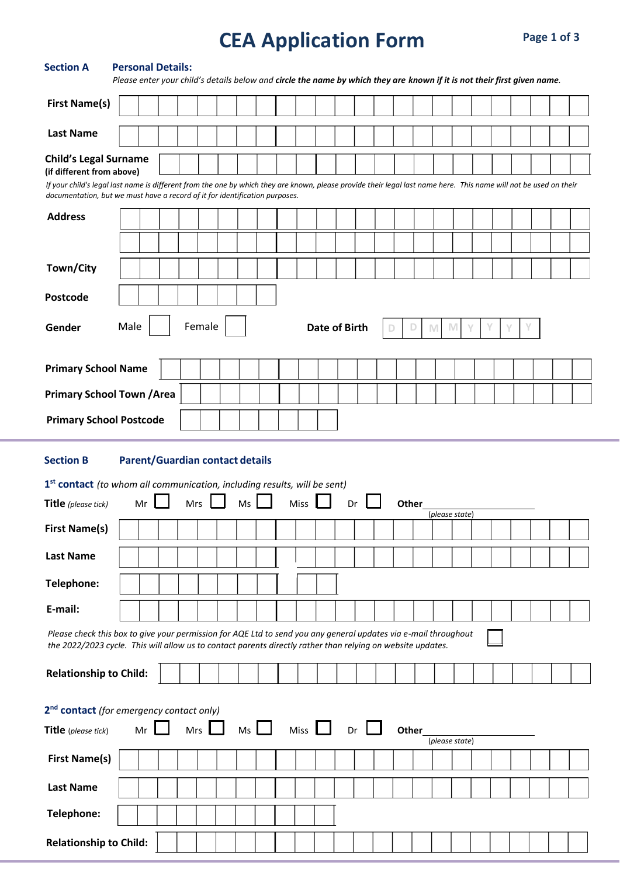# **Registration Form CEA Application Form**

| <b>Section A</b>                                                                                                                                                                                                                                                                                              | <b>Personal Details:</b><br>Please enter your child's details below and circle the name by which they are known if it is not their first given name. |    |            |              |                                        |             |             |                      |    |            |   |       |   |                |   |        |   |  |  |
|---------------------------------------------------------------------------------------------------------------------------------------------------------------------------------------------------------------------------------------------------------------------------------------------------------------|------------------------------------------------------------------------------------------------------------------------------------------------------|----|------------|--------------|----------------------------------------|-------------|-------------|----------------------|----|------------|---|-------|---|----------------|---|--------|---|--|--|
| <b>First Name(s)</b>                                                                                                                                                                                                                                                                                          |                                                                                                                                                      |    |            |              |                                        |             |             |                      |    |            |   |       |   |                |   |        |   |  |  |
| <b>Last Name</b>                                                                                                                                                                                                                                                                                              |                                                                                                                                                      |    |            |              |                                        |             |             |                      |    |            |   |       |   |                |   |        |   |  |  |
| <b>Child's Legal Surname</b><br>(if different from above)<br>If your child's legal last name is different from the one by which they are known, please provide their legal last name here. This name will not be used on their<br>documentation, but we must have a record of it for identification purposes. |                                                                                                                                                      |    |            |              |                                        |             |             |                      |    |            |   |       |   |                |   |        |   |  |  |
| <b>Address</b>                                                                                                                                                                                                                                                                                                |                                                                                                                                                      |    |            |              |                                        |             |             |                      |    |            |   |       |   |                |   |        |   |  |  |
|                                                                                                                                                                                                                                                                                                               |                                                                                                                                                      |    |            |              |                                        |             |             |                      |    |            |   |       |   |                |   |        |   |  |  |
| Town/City                                                                                                                                                                                                                                                                                                     |                                                                                                                                                      |    |            |              |                                        |             |             |                      |    |            |   |       |   |                |   |        |   |  |  |
| Postcode                                                                                                                                                                                                                                                                                                      |                                                                                                                                                      |    |            |              |                                        |             |             |                      |    |            |   |       |   |                |   |        |   |  |  |
| Gender                                                                                                                                                                                                                                                                                                        | Male                                                                                                                                                 |    |            | Female       |                                        |             |             | <b>Date of Birth</b> |    |            | D | D     | M | M              | Y | Y<br>Υ | v |  |  |
| <b>Primary School Name</b>                                                                                                                                                                                                                                                                                    |                                                                                                                                                      |    |            |              |                                        |             |             |                      |    |            |   |       |   |                |   |        |   |  |  |
| <b>Primary School Town / Area</b>                                                                                                                                                                                                                                                                             |                                                                                                                                                      |    |            |              |                                        |             |             |                      |    |            |   |       |   |                |   |        |   |  |  |
| <b>Primary School Postcode</b>                                                                                                                                                                                                                                                                                |                                                                                                                                                      |    |            |              |                                        |             |             |                      |    |            |   |       |   |                |   |        |   |  |  |
| <b>Section B</b>                                                                                                                                                                                                                                                                                              |                                                                                                                                                      |    |            |              | <b>Parent/Guardian contact details</b> |             |             |                      |    |            |   |       |   |                |   |        |   |  |  |
| 1st contact (to whom all communication, including results, will be sent)                                                                                                                                                                                                                                      |                                                                                                                                                      |    |            |              |                                        |             |             |                      |    |            |   |       |   |                |   |        |   |  |  |
| Title (please tick)                                                                                                                                                                                                                                                                                           |                                                                                                                                                      | Mr | <b>Mrs</b> |              | Ms                                     |             | Miss        |                      | Dr |            |   | Other |   | (please state) |   |        |   |  |  |
| <b>First Name(s)</b>                                                                                                                                                                                                                                                                                          |                                                                                                                                                      |    |            |              |                                        |             |             |                      |    |            |   |       |   |                |   |        |   |  |  |
| <b>Last Name</b>                                                                                                                                                                                                                                                                                              |                                                                                                                                                      |    |            |              |                                        |             |             |                      |    |            |   |       |   |                |   |        |   |  |  |
| Telephone:                                                                                                                                                                                                                                                                                                    |                                                                                                                                                      |    |            |              |                                        |             |             |                      |    |            |   |       |   |                |   |        |   |  |  |
| E-mail:                                                                                                                                                                                                                                                                                                       |                                                                                                                                                      |    |            |              |                                        |             |             |                      |    |            |   |       |   |                |   |        |   |  |  |
| Please check this box to give your permission for AQE Ltd to send you any general updates via e-mail throughout<br>the 2022/2023 cycle. This will allow us to contact parents directly rather than relying on website updates.                                                                                |                                                                                                                                                      |    |            |              |                                        |             |             |                      |    |            |   |       |   |                |   |        |   |  |  |
| <b>Relationship to Child:</b>                                                                                                                                                                                                                                                                                 |                                                                                                                                                      |    |            |              |                                        |             |             |                      |    |            |   |       |   |                |   |        |   |  |  |
| 2 <sup>nd</sup> contact (for emergency contact only)                                                                                                                                                                                                                                                          |                                                                                                                                                      |    |            |              |                                        |             |             |                      |    |            |   |       |   |                |   |        |   |  |  |
| Title (please tick)                                                                                                                                                                                                                                                                                           |                                                                                                                                                      | Mr |            | $Mrs$ $\Box$ |                                        | $Ms$ $\Box$ | Miss $\Box$ |                      |    | $Dr \perp$ |   | Other |   | (please state) |   |        |   |  |  |
|                                                                                                                                                                                                                                                                                                               |                                                                                                                                                      |    |            |              |                                        |             |             |                      |    |            |   |       |   |                |   |        |   |  |  |
| <b>First Name(s)</b>                                                                                                                                                                                                                                                                                          |                                                                                                                                                      |    |            |              |                                        |             |             |                      |    |            |   |       |   |                |   |        |   |  |  |
| <b>Last Name</b>                                                                                                                                                                                                                                                                                              |                                                                                                                                                      |    |            |              |                                        |             |             |                      |    |            |   |       |   |                |   |        |   |  |  |
| Telephone:                                                                                                                                                                                                                                                                                                    |                                                                                                                                                      |    |            |              |                                        |             |             |                      |    |            |   |       |   |                |   |        |   |  |  |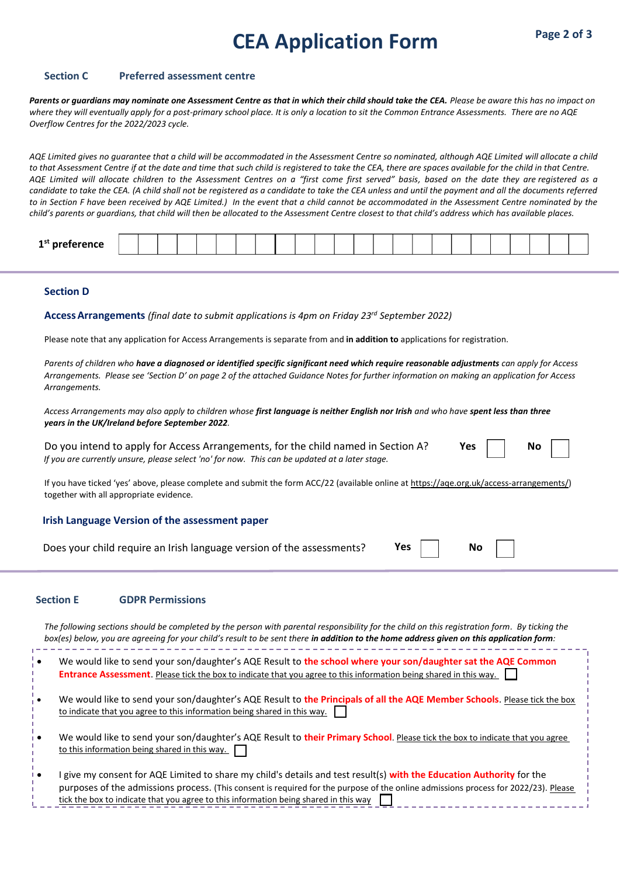# **Registration Form CEA Application Form Page 2 of 3**

## **Section C Preferred assessment centre**

*Parents or guardians may nominate one Assessment Centre as that in which their child should take the CEA. Please be aware this has no impact on where they will eventually apply for a post-primary school place. It is only a location to sit the Common Entrance Assessments. There are no AQE Overflow Centres for the 2022/2023 cycle.*

*AQE Limited gives no guarantee that a child will be accommodated in the Assessment Centre so nominated, although AQE Limited will allocate a child to that Assessment Centre if at the date and time that such child is registered to take the CEA, there are spaces available for the child in that Centre. AQE Limited will allocate children to the Assessment Centres on a "first come first served" basis, based on the date they are registered as a candidate to take the CEA. (A child shall not be registered as a candidate to take the CEA unless and until the payment and all the documents referred to in Section F have been received by AQE Limited.) In the event that a child cannot be accommodated in the Assessment Centre nominated by the child's parents or guardians, that child will then be allocated to the Assessment Centre closest to that child's address which has available places.*

| a st<br>- |  |  |  |  |  |  |  |  |  |  |  |  |  |
|-----------|--|--|--|--|--|--|--|--|--|--|--|--|--|
|           |  |  |  |  |  |  |  |  |  |  |  |  |  |

## **Section D**

**AccessArrangements** *(final date to submit applications is 4pm on Friday 23rd September 2022)*

Please note that any application for Access Arrangements is separate from and **in addition to** applications for registration.

*Parents of children who have a diagnosed or identified specific significant need which require reasonable adjustments can apply for Access Arrangements. Please see 'Section D' on page 2 of the attached Guidance Notes for further information on making an application for Access Arrangements.*

*Access Arrangements may also apply to children whose first language is neither English nor Irish and who have spent less than three years in the UK/Ireland before September 2022.* 

Do you intend to apply for Access Arrangements, for the child named in Section A? *If you are currently unsure, please select 'no' for now. This can be updated at a later stage.*

| Nο |  |
|----|--|
|    |  |

**Yes No**

If you have ticked 'yes' above, please complete and submit the form ACC/22 (available online a[t https://aqe.org.uk/access-arrangements/\)](https://aqe.org.uk/access-arrangements/) together with all appropriate evidence.

### **Irish Language Version of the assessment paper**

Does your child require an Irish language version of the assessments? **Yes No**

### **Section E GDPR Permissions**

*The following sections should be completed by the person with parental responsibility for the child on this registration form. By ticking the box(es) below, you are agreeing for your child's result to be sent there in addition to the home address given on this application form:*

- We would like to send your son/daughter's AQE Result to **the school where your son/daughter sat the AQE Common Entrance Assessment**. Please tick the box to indicate that you agree to this information being shared in this way.
- We would like to send your son/daughter's AQE Result to **the Principals of all the AQE Member Schools**. Please tick the box to indicate that you agree to this information being shared in this way.
- We would like to send your son/daughter's AQE Result to **their Primary School**. Please tick the box to indicate that you agree to this information being shared in this way.
- I give my consent for AQE Limited to share my child's details and test result(s) **with the Education Authority** for the purposes of the admissions process. (This consent is required for the purpose of the online admissions process for 2022/23). Please tick the box to indicate that you agree to this information being shared in this way